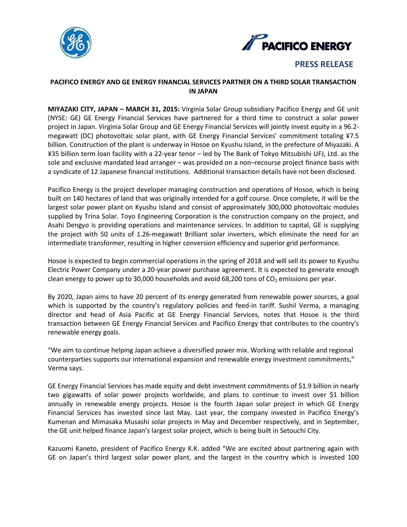



**PRESS RELEASE**

## **PACIFICO ENERGY AND GE ENERGY FINANCIAL SERVICES PARTNER ON A THIRD SOLAR TRANSACTION IN JAPAN**

**MIYAZAKI CITY, JAPAN – MARCH 31, 2015:** Virginia Solar Group subsidiary Pacifico Energy and GE unit (NYSE: GE) GE Energy Financial Services have partnered for a third time to construct a solar power project in Japan. Virginia Solar Group and GE Energy Financial Services will jointly invest equity in a 96.2 megawatt (DC) photovoltaic solar plant, with GE Energy Financial Services' commitment totaling ¥7.5 billion. Construction of the plant is underway in Hosoe on Kyushu Island, in the prefecture of Miyazaki. A ¥35 billion term loan facility with a 22-year tenor – led by The Bank of Tokyo Mitsubishi UFJ, Ltd. as the sole and exclusive mandated lead arranger – was provided on a non–recourse project finance basis with a syndicate of 12 Japanese financial institutions. Additional transaction details have not been disclosed.

Pacifico Energy is the project developer managing construction and operations of Hosoe, which is being built on 140 hectares of land that was originally intended for a golf course. Once complete, it will be the largest solar power plant on Kyushu Island and consist of approximately 300,000 photovoltaic modules supplied by Trina Solar. Toyo Engineering Corporation is the construction company on the project, and Asahi Dengyo is providing operations and maintenance services. In addition to capital, GE is supplying the project with 50 units of 1.26-megawatt Brilliant solar inverters, which eliminate the need for an intermediate transformer, resulting in higher conversion efficiency and superior grid performance.

Hosoe is expected to begin commercial operations in the spring of 2018 and will sell its power to Kyushu Electric Power Company under a 20-year power purchase agreement. It is expected to generate enough clean energy to power up to 30,000 households and avoid 68,200 tons of  $CO<sub>2</sub>$  emissions per year.

By 2020, Japan aims to have 20 percent of its energy generated from renewable power sources, a goal which is supported by the country's regulatory policies and feed-in tariff. Sushil Verma, a managing director and head of Asia Pacific at GE Energy Financial Services, notes that Hosoe is the third transaction between GE Energy Financial Services and Pacifico Energy that contributes to the country's renewable energy goals.

"We aim to continue helping Japan achieve a diversified power mix. Working with reliable and regional counterparties supports our international expansion and renewable energy investment commitments," Verma says.

GE Energy Financial Services has made equity and debt investment commitments of \$1.9 billion in nearly two gigawatts of solar power projects worldwide, and [plans to continue to invest over \\$1 billion](http://geenergyfinancialservices.com/press_releases/view/53)  [annually](http://geenergyfinancialservices.com/press_releases/view/53) in renewable energy projects. Hosoe is the fourth Japan solar project in which GE Energy Financial Services has invested since last May. Last year, the company invested in Pacifico Energy's Kumenan and Mimasaka Musashi solar projects in May and December respectively, and in September, the GE unit helped finance Japan's largest solar project, which is being built in Setouchi City.

Kazuomi Kaneto, president of Pacifico Energy K.K. added "We are excited about partnering again with GE on Japan's third largest solar power plant, and the largest in the country which is invested 100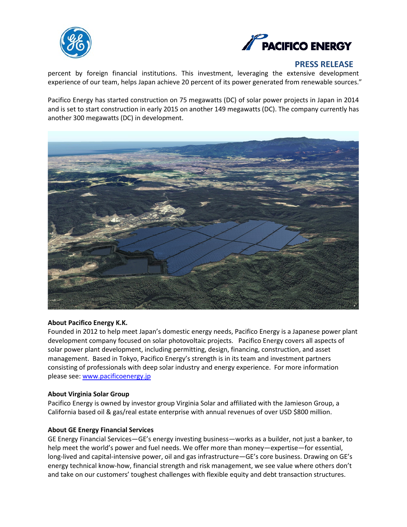



## **PRESS RELEASE**

percent by foreign financial institutions. This investment, leveraging the extensive development experience of our team, helps Japan achieve 20 percent of its power generated from renewable sources."

Pacifico Energy has started construction on 75 megawatts (DC) of solar power projects in Japan in 2014 and is set to start construction in early 2015 on another 149 megawatts (DC). The company currently has another 300 megawatts (DC) in development.



#### **About Pacifico Energy K.K.**

Founded in 2012 to help meet Japan's domestic energy needs, Pacifico Energy is a Japanese power plant development company focused on solar photovoltaic projects. Pacifico Energy covers all aspects of solar power plant development, including permitting, design, financing, construction, and asset management. Based in Tokyo, Pacifico Energy's strength is in its team and investment partners consisting of professionals with deep solar industry and energy experience. For more information please see: [www.pacificoenergy.jp](http://www.pacificoenergy.jp/)

#### **About Virginia Solar Group**

Pacifico Energy is owned by investor group Virginia Solar and affiliated with the Jamieson Group, a California based oil & gas/real estate enterprise with annual revenues of over USD \$800 million.

#### **About GE Energy Financial Services**

GE Energy Financial Services—GE's energy investing business—works as a builder, not just a banker, to help meet the world's power and fuel needs. We offer more than money—expertise—for essential, long-lived and capital-intensive power, oil and gas infrastructure—GE's core business. Drawing on GE's energy technical know-how, financial strength and risk management, we see value where others don't and take on our customers' toughest challenges with flexible equity and debt transaction structures.